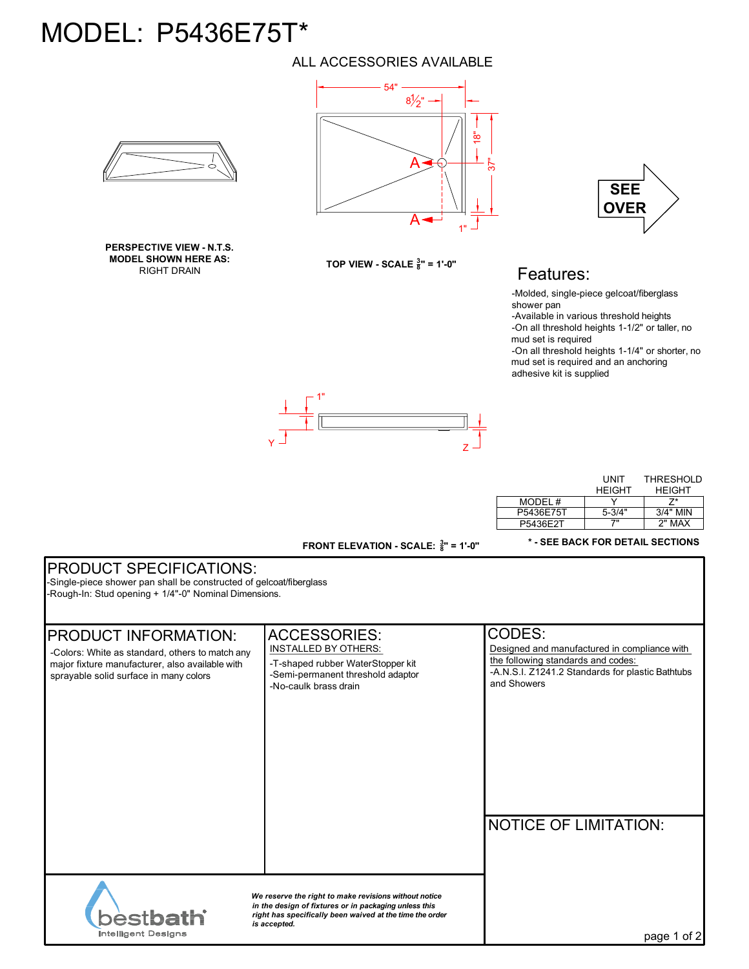## MODEL: P5436E75T\*

**PERSPECTIVE VIEW - N.T.S. MODEL SHOWN HERE AS:** RIGHT DRAIN

## ALL ACCESSORIES AVAILABLE



**TOP VIEW - SCALE <sup>3</sup> <sup>8</sup>" = 1'-0"**



## Features:

-Molded, single-piece gelcoat/fiberglass shower pan

-Available in various threshold heights -On all threshold heights 1-1/2" or taller, no

mud set is required

-On all threshold heights 1-1/4" or shorter, no mud set is required and an anchoring adhesive kit is supplied



**FRONT ELEVATION - SCALE: <sup>3</sup> <sup>8</sup>" = 1'-0"**

|           | UNIT       | THRESHOLD     |
|-----------|------------|---------------|
|           | HFIGHT     | <b>HFIGHT</b> |
| MODEL#    |            | 7*            |
| P5436E75T | $5 - 3/4"$ | $3/4"$ MIN    |
| P5436F2T  | 7"         | 2" MAX        |

**\* - SEE BACK FOR DETAIL SECTIONS**

## PRODUCT SPECIFICATIONS:

-Single-piece shower pan shall be constructed of gelcoat/fiberglass -Rough-In: Stud opening + 1/4"-0" Nominal Dimensions.

| <b>PRODUCT INFORMATION:</b><br>-Colors: White as standard, others to match any<br>major fixture manufacturer, also available with<br>sprayable solid surface in many colors | <b>ACCESSORIES:</b><br><b>INSTALLED BY OTHERS:</b><br>-T-shaped rubber WaterStopper kit<br>-Semi-permanent threshold adaptor<br>-No-caulk brass drain | CODES:<br>Designed and manufactured in compliance with<br>the following standards and codes:<br>-A.N.S.I. Z1241.2 Standards for plastic Bathtubs<br>and Showers |
|-----------------------------------------------------------------------------------------------------------------------------------------------------------------------------|-------------------------------------------------------------------------------------------------------------------------------------------------------|-----------------------------------------------------------------------------------------------------------------------------------------------------------------|
|                                                                                                                                                                             | We reserve the right to make revisions without notice                                                                                                 | <b>NOTICE OF LIMITATION:</b>                                                                                                                                    |
| <b>Astbath</b><br>Intelligent Designs                                                                                                                                       | in the design of fixtures or in packaging unless this<br>right has specifically been waived at the time the order<br>is accepted.                     | page 1 of 2                                                                                                                                                     |